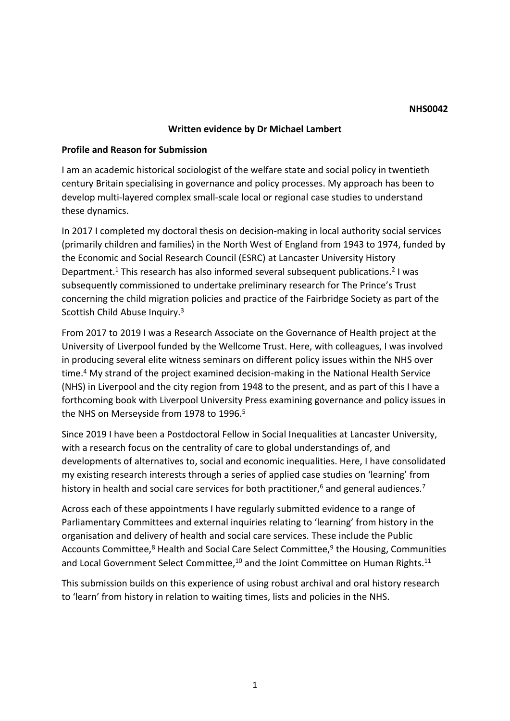### **NHS0042**

## **Written evidence by Dr Michael Lambert**

## **Profile and Reason for Submission**

I am an academic historical sociologist of the welfare state and social policy in twentieth century Britain specialising in governance and policy processes. My approach has been to develop multi-layered complex small-scale local or regional case studies to understand these dynamics.

In 2017 I completed my doctoral thesis on decision-making in local authority social services (primarily children and families) in the North West of England from 1943 to 1974, funded by the Economic and Social Research Council (ESRC) at Lancaster University History Department.<sup>1</sup> This research has also informed several subsequent publications.<sup>2</sup> I was subsequently commissioned to undertake preliminary research for The Prince's Trust concerning the child migration policies and practice of the Fairbridge Society as part of the Scottish Child Abuse Inquiry.<sup>3</sup>

From 2017 to 2019 I was a Research Associate on the Governance of Health project at the University of Liverpool funded by the Wellcome Trust. Here, with colleagues, I was involved in producing several elite witness seminars on different policy issues within the NHS over time.<sup>4</sup> My strand of the project examined decision-making in the National Health Service (NHS) in Liverpool and the city region from 1948 to the present, and as part of this I have a forthcoming book with Liverpool University Press examining governance and policy issues in the NHS on Merseyside from 1978 to 1996.<sup>5</sup>

Since 2019 I have been a Postdoctoral Fellow in Social Inequalities at Lancaster University, with a research focus on the centrality of care to global understandings of, and developments of alternatives to, social and economic inequalities. Here, I have consolidated my existing research interests through a series of applied case studies on 'learning' from history in health and social care services for both practitioner,<sup>6</sup> and general audiences.<sup>7</sup>

Across each of these appointments I have regularly submitted evidence to a range of Parliamentary Committees and external inquiries relating to 'learning' from history in the organisation and delivery of health and social care services. These include the Public Accounts Committee,<sup>8</sup> Health and Social Care Select Committee,<sup>9</sup> the Housing, Communities and Local Government Select Committee,<sup>10</sup> and the Joint Committee on Human Rights.<sup>11</sup>

This submission builds on this experience of using robust archival and oral history research to 'learn' from history in relation to waiting times, lists and policies in the NHS.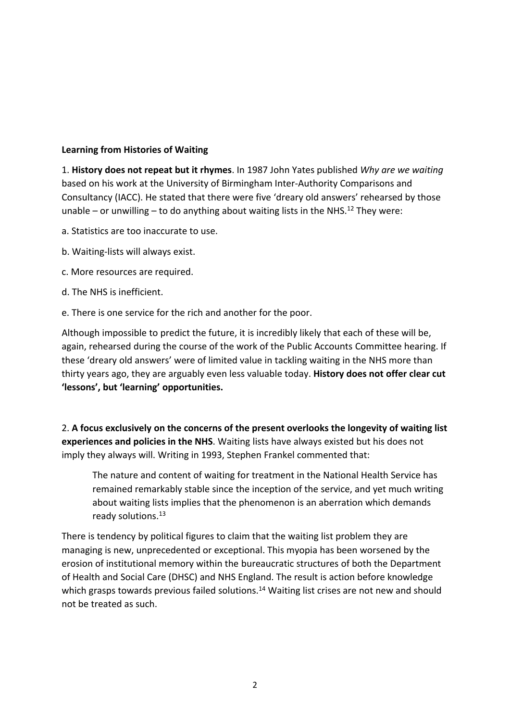# **Learning from Histories of Waiting**

1. **History does not repeat but it rhymes**. In 1987 John Yates published *Why are we waiting* based on his work at the University of Birmingham Inter-Authority Comparisons and Consultancy (IACC). He stated that there were five 'dreary old answers' rehearsed by those unable – or unwilling – to do anything about waiting lists in the NHS.<sup>12</sup> They were:

- a. Statistics are too inaccurate to use.
- b. Waiting-lists will always exist.
- c. More resources are required.
- d. The NHS is inefficient.
- e. There is one service for the rich and another for the poor.

Although impossible to predict the future, it is incredibly likely that each of these will be, again, rehearsed during the course of the work of the Public Accounts Committee hearing. If these 'dreary old answers' were of limited value in tackling waiting in the NHS more than thirty years ago, they are arguably even less valuable today. **History does not offer clear cut 'lessons', but 'learning' opportunities.**

2. **A focus exclusively on the concerns of the present overlooks the longevity of waiting list experiences and policies in the NHS**. Waiting lists have always existed but his does not imply they always will. Writing in 1993, Stephen Frankel commented that:

The nature and content of waiting for treatment in the National Health Service has remained remarkably stable since the inception of the service, and yet much writing about waiting lists implies that the phenomenon is an aberration which demands ready solutions.<sup>13</sup>

There is tendency by political figures to claim that the waiting list problem they are managing is new, unprecedented or exceptional. This myopia has been worsened by the erosion of institutional memory within the bureaucratic structures of both the Department of Health and Social Care (DHSC) and NHS England. The result is action before knowledge which grasps towards previous failed solutions.<sup>14</sup> Waiting list crises are not new and should not be treated as such.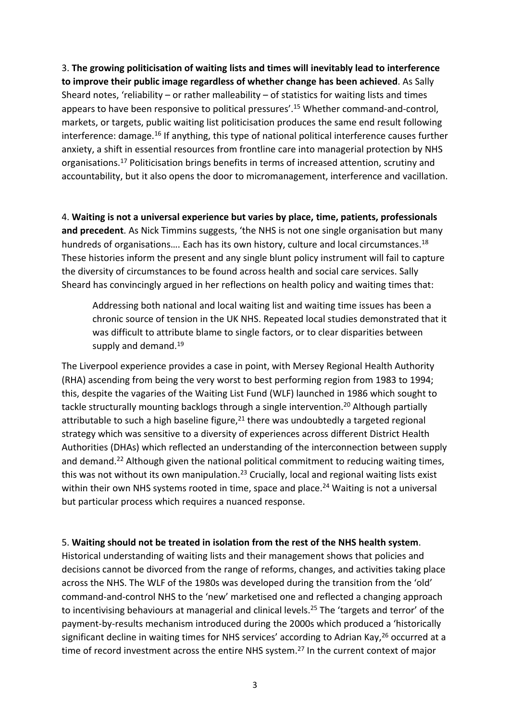3. **The growing politicisation of waiting lists and times will inevitably lead to interference to improve their public image regardless of whether change has been achieved**. As Sally Sheard notes, 'reliability – or rather malleability – of statistics for waiting lists and times appears to have been responsive to political pressures'.<sup>15</sup> Whether command-and-control, markets, or targets, public waiting list politicisation produces the same end result following interference: damage.<sup>16</sup> If anything, this type of national political interference causes further anxiety, a shift in essential resources from frontline care into managerial protection by NHS organisations.<sup>17</sup> Politicisation brings benefits in terms of increased attention, scrutiny and accountability, but it also opens the door to micromanagement, interference and vacillation.

4. **Waiting is not a universal experience but varies by place, time, patients, professionals and precedent**. As Nick Timmins suggests, 'the NHS is not one single organisation but many hundreds of organisations.... Each has its own history, culture and local circumstances.<sup>18</sup> These histories inform the present and any single blunt policy instrument will fail to capture the diversity of circumstances to be found across health and social care services. Sally Sheard has convincingly argued in her reflections on health policy and waiting times that:

Addressing both national and local waiting list and waiting time issues has been a chronic source of tension in the UK NHS. Repeated local studies demonstrated that it was difficult to attribute blame to single factors, or to clear disparities between supply and demand.<sup>19</sup>

The Liverpool experience provides a case in point, with Mersey Regional Health Authority (RHA) ascending from being the very worst to best performing region from 1983 to 1994; this, despite the vagaries of the Waiting List Fund (WLF) launched in 1986 which sought to tackle structurally mounting backlogs through a single intervention.<sup>20</sup> Although partially attributable to such a high baseline figure, $21$  there was undoubtedly a targeted regional strategy which was sensitive to a diversity of experiences across different District Health Authorities (DHAs) which reflected an understanding of the interconnection between supply and demand.<sup>22</sup> Although given the national political commitment to reducing waiting times, this was not without its own manipulation.<sup>23</sup> Crucially, local and regional waiting lists exist within their own NHS systems rooted in time, space and place.<sup>24</sup> Waiting is not a universal but particular process which requires a nuanced response.

## 5. **Waiting should not be treated in isolation from the rest of the NHS health system**.

Historical understanding of waiting lists and their management shows that policies and decisions cannot be divorced from the range of reforms, changes, and activities taking place across the NHS. The WLF of the 1980s was developed during the transition from the 'old' command-and-control NHS to the 'new' marketised one and reflected a changing approach to incentivising behaviours at managerial and clinical levels.<sup>25</sup> The 'targets and terror' of the payment-by-results mechanism introduced during the 2000s which produced a 'historically significant decline in waiting times for NHS services' according to Adrian Kay,<sup>26</sup> occurred at a time of record investment across the entire NHS system.<sup>27</sup> In the current context of major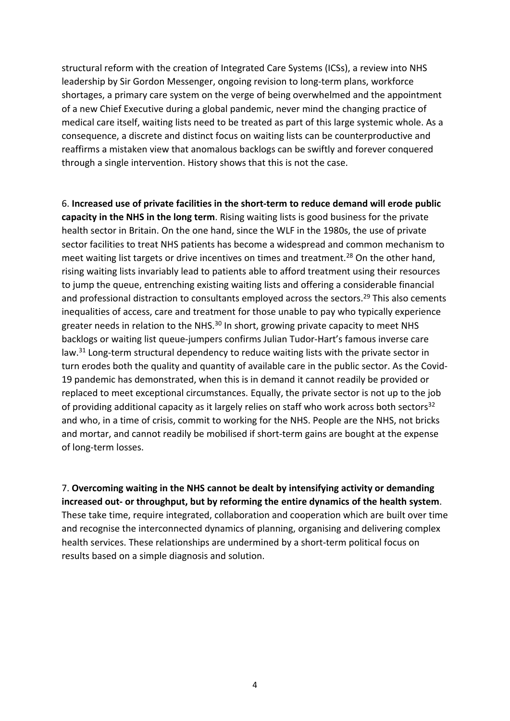structural reform with the creation of Integrated Care Systems (ICSs), a review into NHS leadership by Sir Gordon Messenger, ongoing revision to long-term plans, workforce shortages, a primary care system on the verge of being overwhelmed and the appointment of a new Chief Executive during a global pandemic, never mind the changing practice of medical care itself, waiting lists need to be treated as part of this large systemic whole. As a consequence, a discrete and distinct focus on waiting lists can be counterproductive and reaffirms a mistaken view that anomalous backlogs can be swiftly and forever conquered through a single intervention. History shows that this is not the case.

6. **Increased use of private facilities in the short-term to reduce demand will erode public capacity in the NHS in the long term**. Rising waiting lists is good business for the private health sector in Britain. On the one hand, since the WLF in the 1980s, the use of private sector facilities to treat NHS patients has become a widespread and common mechanism to meet waiting list targets or drive incentives on times and treatment.<sup>28</sup> On the other hand, rising waiting lists invariably lead to patients able to afford treatment using their resources to jump the queue, entrenching existing waiting lists and offering a considerable financial and professional distraction to consultants employed across the sectors.<sup>29</sup> This also cements inequalities of access, care and treatment for those unable to pay who typically experience greater needs in relation to the NHS.<sup>30</sup> In short, growing private capacity to meet NHS backlogs or waiting list queue-jumpers confirms Julian Tudor-Hart's famous inverse care law.<sup>31</sup> Long-term structural dependency to reduce waiting lists with the private sector in turn erodes both the quality and quantity of available care in the public sector. As the Covid-19 pandemic has demonstrated, when this is in demand it cannot readily be provided or replaced to meet exceptional circumstances. Equally, the private sector is not up to the job of providing additional capacity as it largely relies on staff who work across both sectors<sup>32</sup> and who, in a time of crisis, commit to working for the NHS. People are the NHS, not bricks and mortar, and cannot readily be mobilised if short-term gains are bought at the expense of long-term losses.

7. **Overcoming waiting in the NHS cannot be dealt by intensifying activity or demanding increased out- or throughput, but by reforming the entire dynamics of the health system**. These take time, require integrated, collaboration and cooperation which are built over time and recognise the interconnected dynamics of planning, organising and delivering complex health services. These relationships are undermined by a short-term political focus on results based on a simple diagnosis and solution.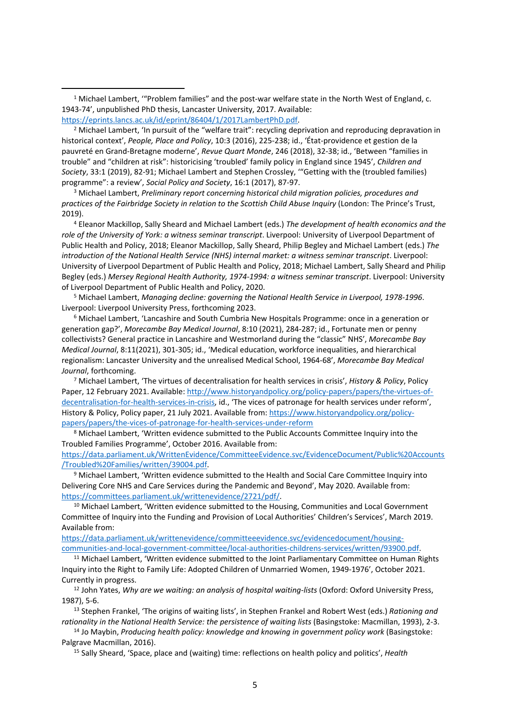<sup>1</sup> Michael Lambert, '"Problem families" and the post-war welfare state in the North West of England, c. 1943-74', unpublished PhD thesis, Lancaster University, 2017. Available: [https://eprints.lancs.ac.uk/id/eprint/86404/1/2017LambertPhD.pdf.](https://eprints.lancs.ac.uk/id/eprint/86404/1/2017LambertPhD.pdf)

 $<sup>2</sup>$  Michael Lambert, 'In pursuit of the "welfare trait": recycling deprivation and reproducing depravation in</sup> historical context', *People, Place and Policy*, 10:3 (2016), 225-238; id., 'État-providence et gestion de la pauvreté en Grand-Bretagne moderne', *Revue Quart Monde*, 246 (2018), 32-38; id., 'Between "families in trouble" and "children at risk": historicising 'troubled' family policy in England since 1945', *Children and Society*, 33:1 (2019), 82-91; Michael Lambert and Stephen Crossley, '"Getting with the (troubled families) programme": a review', *Social Policy and Society*, 16:1 (2017), 87-97.

<sup>3</sup> Michael Lambert, *Preliminary report concerning historical child migration policies, procedures and practices of the Fairbridge Society in relation to the Scottish Child Abuse Inquiry* (London: The Prince's Trust, 2019).

<sup>4</sup> Eleanor Mackillop, Sally Sheard and Michael Lambert (eds.) *The development of health economics and the role of the University of York: a witness seminar transcript*. Liverpool: University of Liverpool Department of Public Health and Policy, 2018; Eleanor Mackillop, Sally Sheard, Philip Begley and Michael Lambert (eds.) *The introduction of the National Health Service (NHS) internal market: a witness seminar transcript*. Liverpool: University of Liverpool Department of Public Health and Policy, 2018; Michael Lambert, Sally Sheard and Philip Begley (eds.) *Mersey Regional Health Authority, 1974-1994: a witness seminar transcript*. Liverpool: University of Liverpool Department of Public Health and Policy, 2020.

<sup>5</sup> Michael Lambert, *Managing decline: governing the National Health Service in Liverpool, 1978-1996*. Liverpool: Liverpool University Press, forthcoming 2023.

<sup>6</sup> Michael Lambert, 'Lancashire and South Cumbria New Hospitals Programme: once in a generation or generation gap?', *Morecambe Bay Medical Journal*, 8:10 (2021), 284-287; id., Fortunate men or penny collectivists? General practice in Lancashire and Westmorland during the "classic" NHS', *Morecambe Bay Medical Journal*, 8:11(2021), 301-305; id., 'Medical education, workforce inequalities, and hierarchical regionalism: Lancaster University and the unrealised Medical School, 1964-68', *Morecambe Bay Medical Journal*, forthcoming.

<sup>7</sup> Michael Lambert, 'The virtues of decentralisation for health services in crisis', *History & Policy*, Policy Paper, 12 February 2021. Available: [http://www.historyandpolicy.org/policy-papers/papers/the-virtues-of](http://www.historyandpolicy.org/policy-papers/papers/the-virtues-of-decentralisation-for-health-services-in-crisis)[decentralisation-for-health-services-in-crisis,](http://www.historyandpolicy.org/policy-papers/papers/the-virtues-of-decentralisation-for-health-services-in-crisis) id., 'The vices of patronage for health services under reform', History & Policy, Policy paper, 21 July 2021. Available from: [https://www.historyandpolicy.org/policy](https://www.historyandpolicy.org/policy-papers/papers/the-virtues-of-decentralisation-for-health-services-in-crisis)[papers/papers/the-vices-of-patronage-for-health-services-under-reform](https://www.historyandpolicy.org/policy-papers/papers/the-virtues-of-decentralisation-for-health-services-in-crisis)

<sup>8</sup> Michael Lambert, 'Written evidence submitted to the Public Accounts Committee Inquiry into the Troubled Families Programme', October 2016. Available from:

[https://data.parliament.uk/WrittenEvidence/CommitteeEvidence.svc/EvidenceDocument/Public%20Accounts](https://data.parliament.uk/WrittenEvidence/CommitteeEvidence.svc/EvidenceDocument/Public%20Accounts/Troubled%20Families/written/39004.pdf) [/Troubled%20Families/written/39004.pdf.](https://data.parliament.uk/WrittenEvidence/CommitteeEvidence.svc/EvidenceDocument/Public%20Accounts/Troubled%20Families/written/39004.pdf)

<sup>9</sup> Michael Lambert, 'Written evidence submitted to the Health and Social Care Committee Inquiry into Delivering Core NHS and Care Services during the Pandemic and Beyond', May 2020. Available from: [https://committees.parliament.uk/writtenevidence/2721/pdf/.](https://committees.parliament.uk/writtenevidence/2721/pdf/)

<sup>10</sup> Michael Lambert, 'Written evidence submitted to the Housing, Communities and Local Government Committee of Inquiry into the Funding and Provision of Local Authorities' Children's Services', March 2019. Available from:

[https://data.parliament.uk/writtenevidence/committeeevidence.svc/evidencedocument/housing](https://data.parliament.uk/writtenevidence/committeeevidence.svc/evidencedocument/housing-communities-and-local-government-committee/local-authorities-childrens-services/written/93900.pdf)[communities-and-local-government-committee/local-authorities-childrens-services/written/93900.pdf.](https://data.parliament.uk/writtenevidence/committeeevidence.svc/evidencedocument/housing-communities-and-local-government-committee/local-authorities-childrens-services/written/93900.pdf)

<sup>11</sup> Michael Lambert, 'Written evidence submitted to the Joint Parliamentary Committee on Human Rights Inquiry into the Right to Family Life: Adopted Children of Unmarried Women, 1949-1976', October 2021. Currently in progress.

<sup>12</sup> John Yates, *Why are we waiting: an analysis of hospital waiting-lists* (Oxford: Oxford University Press, 1987), 5-6.

<sup>13</sup> Stephen Frankel, 'The origins of waiting lists', in Stephen Frankel and Robert West (eds.) *Rationing and rationality in the National Health Service: the persistence of waiting lists* (Basingstoke: Macmillan, 1993), 2-3.

<sup>14</sup> Jo Maybin, *Producing health policy: knowledge and knowing in government policy work* (Basingstoke: Palgrave Macmillan, 2016).

<sup>15</sup> Sally Sheard, 'Space, place and (waiting) time: reflections on health policy and politics', *Health*